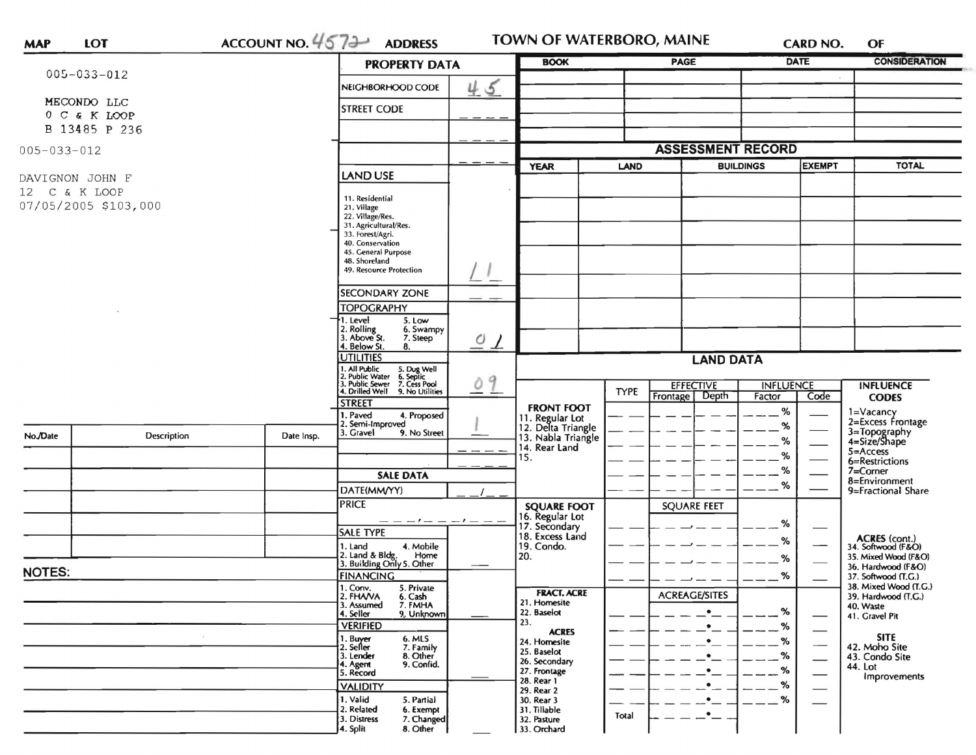|                                  |                      |                                                  | <b>PROPERTY DATA</b>                                                                   |                             | <b>BOOK</b>                                                 |                   | <b>PAGE</b>                  |                                      | <b>DATE</b>                  | <b>CONSIDERATION</b>                                                                                                                                                                           |
|----------------------------------|----------------------|--------------------------------------------------|----------------------------------------------------------------------------------------|-----------------------------|-------------------------------------------------------------|-------------------|------------------------------|--------------------------------------|------------------------------|------------------------------------------------------------------------------------------------------------------------------------------------------------------------------------------------|
| $005 - 033 - 012$                |                      |                                                  |                                                                                        |                             |                                                             |                   |                              |                                      |                              |                                                                                                                                                                                                |
| MECONDO LLC                      |                      |                                                  | NEIGHBORHOOD CODE                                                                      | 45                          |                                                             |                   |                              |                                      |                              |                                                                                                                                                                                                |
|                                  | 0 C & K LOOP         |                                                  | <b>STREET CODE</b>                                                                     |                             |                                                             |                   |                              |                                      |                              |                                                                                                                                                                                                |
|                                  | B 13485 P 236        |                                                  |                                                                                        |                             |                                                             |                   |                              |                                      |                              |                                                                                                                                                                                                |
| $005 - 033 - 012$                |                      |                                                  |                                                                                        |                             |                                                             |                   |                              | <b>ASSESSMENT RECORD</b>             |                              |                                                                                                                                                                                                |
|                                  |                      |                                                  | <b>LAND USE</b>                                                                        |                             | <b>YEAR</b>                                                 | <b>LAND</b>       |                              | <b>BUILDINGS</b>                     | <b>EXEMPT</b>                | <b>TOTAL</b>                                                                                                                                                                                   |
| DAVIGNON JOHN F<br>12 C & K LOOP |                      |                                                  |                                                                                        |                             |                                                             |                   |                              |                                      |                              |                                                                                                                                                                                                |
|                                  | 07/05/2005 \$103,000 |                                                  | 11. Residential<br>21. Village                                                         |                             |                                                             |                   |                              |                                      |                              |                                                                                                                                                                                                |
|                                  |                      |                                                  | 22. Village/Res.<br>31. Agricultural/Res.                                              |                             |                                                             |                   |                              | <b>INFLUENCE</b><br><b>INFLUENCE</b> |                              |                                                                                                                                                                                                |
|                                  |                      |                                                  | 33. Forest/Agri.<br>40. Conservation                                                   |                             |                                                             |                   |                              |                                      |                              |                                                                                                                                                                                                |
|                                  |                      | 45. General Purpose<br>48. Shoreland             |                                                                                        |                             |                                                             |                   |                              |                                      |                              |                                                                                                                                                                                                |
|                                  |                      | 49. Resource Protection                          |                                                                                        |                             |                                                             |                   |                              |                                      |                              |                                                                                                                                                                                                |
|                                  |                      |                                                  | <b>SECONDARY ZONE</b>                                                                  |                             |                                                             |                   |                              |                                      |                              |                                                                                                                                                                                                |
|                                  |                      |                                                  | <b>TOPOGRAPHY</b>                                                                      |                             |                                                             |                   |                              |                                      |                              |                                                                                                                                                                                                |
|                                  |                      | 1. Level<br>5. Low<br>2. Rolling<br>6. Swampy    |                                                                                        |                             |                                                             |                   |                              |                                      |                              |                                                                                                                                                                                                |
|                                  |                      | 3. Above St.<br>7. Steep<br>4. Below St.<br>8.   | $\overline{O}$<br>$\perp$                                                              |                             |                                                             |                   |                              |                                      |                              |                                                                                                                                                                                                |
|                                  |                      |                                                  | <b>UTILITIES</b>                                                                       |                             |                                                             |                   | <b>LAND DATA</b>             |                                      |                              |                                                                                                                                                                                                |
|                                  |                      |                                                  | 1. All Public 5. Dug Well<br>2. Public Water 6. Septic<br>3. Public Sewer 7. Cess Pool | 9<br>Ò                      |                                                             |                   | <b>EFFECTIVE</b>             |                                      |                              |                                                                                                                                                                                                |
|                                  |                      | 4. Drilled Well 9. No Utilities<br><b>STREET</b> |                                                                                        |                             | <b>TYPE</b>                                                 | Depth<br>Frontage | Factor                       | Code                                 | <b>CODES</b>                 |                                                                                                                                                                                                |
|                                  |                      |                                                  | 1. Paved<br>4. Proposed                                                                |                             | <b>FRONT FOOT</b>                                           |                   |                              | %                                    |                              |                                                                                                                                                                                                |
| No./Date                         | Description          | Date Insp.                                       | 2. Semi-Improved<br>3. Gravel<br>9. No Street                                          |                             | 11. Regular Lot<br>12. Delta Triangle<br>13. Nabla Triangle |                   |                              | %                                    |                              |                                                                                                                                                                                                |
|                                  |                      |                                                  |                                                                                        |                             | 14. Rear Land                                               |                   |                              | %<br>%                               |                              |                                                                                                                                                                                                |
|                                  |                      |                                                  |                                                                                        |                             | 15.                                                         |                   |                              | %                                    |                              |                                                                                                                                                                                                |
|                                  |                      |                                                  | DATE(MM/YY)                                                                            | <b>SALE DATA</b>            |                                                             |                   |                              | %                                    |                              |                                                                                                                                                                                                |
|                                  |                      |                                                  | <b>PRICE</b>                                                                           |                             | <b>SQUARE FOOT</b>                                          |                   | <b>SQUARE FEET</b>           |                                      |                              | 1=Vacancy<br>2=Excess Frontage<br>3=Topography<br>4=Size/Shape<br>$5 =$ Access<br>6=Restrictions<br>$7 =$ Corner<br>8=Environment<br>9=Fractional Share<br>ACRES (cont.)<br>34. Softwood (F&O) |
|                                  |                      |                                                  | $- - - - - - - - -$                                                                    |                             | 16. Regular Lot<br>17. Secondary                            |                   |                              | %                                    |                              |                                                                                                                                                                                                |
|                                  |                      |                                                  | <b>SALE TYPE</b>                                                                       |                             | 18. Excess Land                                             |                   |                              | %                                    |                              | 35. Mixed Wood (F&O)                                                                                                                                                                           |
|                                  |                      |                                                  | 4. Mobile<br>1. Land<br>2. Land & Bldg. Home<br>3. Building Only 5. Other<br>Home      |                             | 19. Condo.<br>20.                                           |                   |                              | %                                    |                              |                                                                                                                                                                                                |
| <b>NOTES:</b>                    |                      |                                                  | <b>FINANCING</b>                                                                       |                             |                                                             |                   |                              | ℅                                    |                              | 36. Hardwood (F&O)<br>37. Softwood (T.G.)                                                                                                                                                      |
|                                  |                      |                                                  | 1. Conv.<br>5. Private<br>2. FHANA<br>6. Cash                                          |                             | <b>FRACT. ACRE</b>                                          |                   | $ -$<br><b>ACREAGE/SITES</b> |                                      |                              | 38. Mixed Wood (T.G.)<br>39. Hardwood (T.G.)                                                                                                                                                   |
|                                  |                      | 7. FMHA<br>3. Assumed<br>9. Unknown<br>4. Seller |                                                                                        | 21. Homesite<br>22. Baselot |                                                             | $\bullet$         | $\%$                         |                                      | 40. Waste                    |                                                                                                                                                                                                |
|                                  |                      |                                                  | <b>VERIFIED</b>                                                                        |                             | 23.<br><b>ACRES</b>                                         |                   |                              | %                                    |                              | 41. Gravel Pit                                                                                                                                                                                 |
|                                  |                      |                                                  | 1. Buyer<br>6. MLS<br>2. Seller<br>7. Family                                           |                             | 24. Homesite                                                |                   |                              | %                                    | <b>SITE</b><br>42. Moho Site |                                                                                                                                                                                                |
|                                  |                      |                                                  | 3. Lender<br>8. Other<br>9. Confid.<br>4. Agent                                        |                             | 25. Baselot<br>26. Secondary                                |                   | %                            |                                      |                              | 43. Condo Site<br>44. Lot                                                                                                                                                                      |
|                                  |                      |                                                  | 5. Record                                                                              |                             | 27. Frontage<br>28. Rear 1                                  |                   |                              | %                                    |                              | Improvements                                                                                                                                                                                   |
|                                  |                      |                                                  | <b>VALIDITY</b><br>1. Valid<br>5. Partial                                              |                             | 29. Rear 2<br>30. Rear 3                                    |                   |                              | %<br>%                               |                              |                                                                                                                                                                                                |
|                                  |                      |                                                  | 2. Related<br>6. Exempt                                                                |                             | 31. Tillable                                                | Total             | $\bullet$                    |                                      |                              |                                                                                                                                                                                                |
|                                  |                      |                                                  | 3. Distress<br>7. Changed<br>4. Split<br>8. Other                                      |                             | 32. Pasture<br>33. Orchard                                  |                   |                              |                                      |                              |                                                                                                                                                                                                |